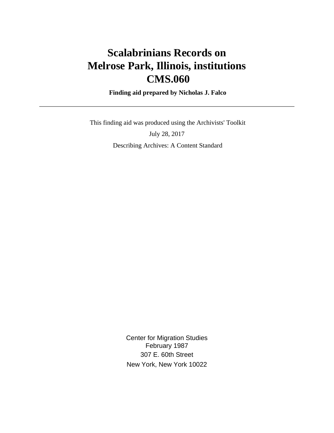# **Scalabrinians Records on Melrose Park, Illinois, institutions CMS.060**

 **Finding aid prepared by Nicholas J. Falco**

 This finding aid was produced using the Archivists' Toolkit July 28, 2017 Describing Archives: A Content Standard

> Center for Migration Studies February 1987 307 E. 60th Street New York, New York 10022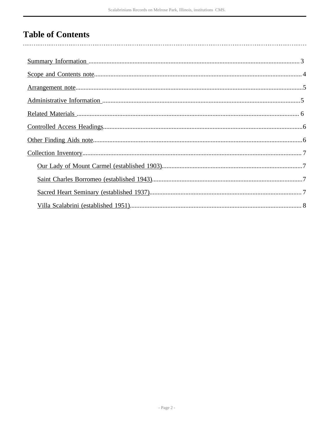# **Table of Contents**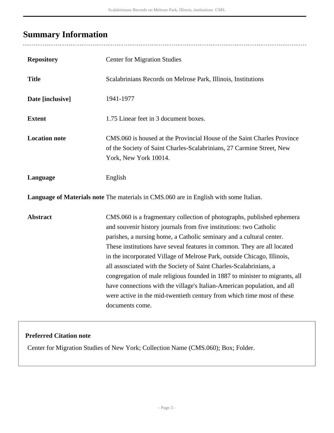## <span id="page-2-0"></span>**Summary Information**

. . . . . . . . . . . . . . .

| <b>Repository</b>                                                                     | <b>Center for Migration Studies</b>                                                                                                                                                                                                                                                                                                                                                                                                                                                                                                                                                                                                                                                                      |  |
|---------------------------------------------------------------------------------------|----------------------------------------------------------------------------------------------------------------------------------------------------------------------------------------------------------------------------------------------------------------------------------------------------------------------------------------------------------------------------------------------------------------------------------------------------------------------------------------------------------------------------------------------------------------------------------------------------------------------------------------------------------------------------------------------------------|--|
| <b>Title</b>                                                                          | Scalabrinians Records on Melrose Park, Illinois, Institutions                                                                                                                                                                                                                                                                                                                                                                                                                                                                                                                                                                                                                                            |  |
| Date [inclusive]                                                                      | 1941-1977                                                                                                                                                                                                                                                                                                                                                                                                                                                                                                                                                                                                                                                                                                |  |
| <b>Extent</b>                                                                         | 1.75 Linear feet in 3 document boxes.                                                                                                                                                                                                                                                                                                                                                                                                                                                                                                                                                                                                                                                                    |  |
| <b>Location note</b>                                                                  | CMS.060 is housed at the Provincial House of the Saint Charles Province<br>of the Society of Saint Charles-Scalabrinians, 27 Carmine Street, New<br>York, New York 10014.                                                                                                                                                                                                                                                                                                                                                                                                                                                                                                                                |  |
| Language                                                                              | English                                                                                                                                                                                                                                                                                                                                                                                                                                                                                                                                                                                                                                                                                                  |  |
| Language of Materials note The materials in CMS.060 are in English with some Italian. |                                                                                                                                                                                                                                                                                                                                                                                                                                                                                                                                                                                                                                                                                                          |  |
| <b>Abstract</b>                                                                       | CMS.060 is a fragmentary collection of photographs, published ephemera<br>and souvenir history journals from five institutions: two Catholic<br>parishes, a nursing home, a Catholic seminary and a cultural center.<br>These institutions have seveal features in common. They are all located<br>in the incorporated Village of Melrose Park, outside Chicago, Illinois,<br>all assosciated with the Society of Saint Charles-Scalabrinians, a<br>congregation of male religious founded in 1887 to minister to migrants, all<br>have connections with the village's Italian-American population, and all<br>were active in the mid-twentieth century from which time most of these<br>documents come. |  |

#### **Preferred Citation note**

Center for Migration Studies of New York; Collection Name (CMS.060); Box; Folder.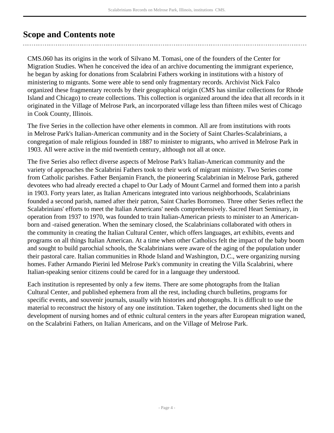## <span id="page-3-0"></span>**Scope and Contents note**

CMS.060 has its origins in the work of Silvano M. Tomasi, one of the founders of the Center for Migration Studies. When he conceived the idea of an archive documenting the immigrant experience, he began by asking for donations from Scalabrini Fathers working in institutions with a history of ministering to migrants. Some were able to send only fragmentary records. Archivist Nick Falco organized these fragmentary records by their geographical origin (CMS has similar collections for Rhode Island and Chicago) to create collections. This collection is organized around the idea that all records in it originated in the Village of Melrose Park, an incorporated village less than fifteen miles west of Chicago in Cook County, Illinois.

The five Series in the collection have other elements in common. All are from institutions with roots in Melrose Park's Italian-American community and in the Society of Saint Charles-Scalabrinians, a congregation of male religious founded in 1887 to minister to migrants, who arrived in Melrose Park in 1903. All were active in the mid twentieth century, although not all at once.

The five Series also reflect diverse aspects of Melrose Park's Italian-American community and the variety of approaches the Scalabrini Fathers took to their work of migrant ministry. Two Series come from Catholic parishes. Father Benjamin Franch, the pioneering Scalabrinian in Melrose Park, gathered devotees who had already erected a chapel to Our Lady of Mount Carmel and formed them into a parish in 1903. Forty years later, as Italian Americans integrated into various neighborhoods, Scalabrinians founded a second parish, named after their patron, Saint Charles Borromeo. Three other Series reflect the Scalabrinians' efforts to meet the Italian Americans' needs comprehensively. Sacred Heart Seminary, in operation from 1937 to 1970, was founded to train Italian-American priests to minister to an Americanborn and -raised generation. When the seminary closed, the Scalabrinians collaborated with others in the community in creating the Italian Cultural Center, which offers languages, art exhibits, events and programs on all things Italian American. At a time when other Catholics felt the impact of the baby boom and sought to build parochial schools, the Scalabrinians were aware of the aging of the population under their pastoral care. Italian communities in Rhode Island and Washington, D.C., were organizing nursing homes. Father Armando Pierini led Melrose Park's community in creating the Villa Scalabrini, where Italian-speaking senior citizens could be cared for in a language they understood.

Each institution is represented by only a few items. There are some photographs from the Italian Cultural Center, and published ephemera from all the rest, including church bulletins, programs for specific events, and souvenir journals, usually with histories and photographs. It is difficult to use the material to reconstruct the history of any one institution. Taken together, the documents shed light on the development of nursing homes and of ethnic cultural centers in the years after European migration waned, on the Scalabrini Fathers, on Italian Americans, and on the Village of Melrose Park.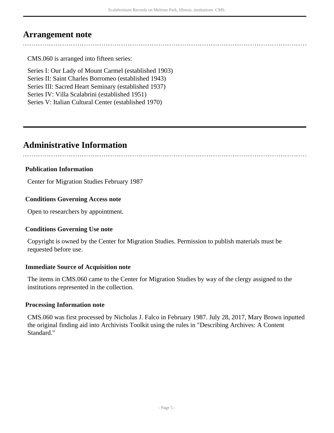## <span id="page-4-0"></span>**Arrangement note**

CMS.060 is arranged into fifteen series:

Series I: Our Lady of Mount Carmel (established 1903) Series II: Saint Charles Borromeo (established 1943) Series III: Sacred Heart Seminary (established 1937) Series IV: Villa Scalabrini (established 1951) Series V: Italian Cultural Center (established 1970)

## <span id="page-4-1"></span>**Administrative Information**

#### **Publication Information**

Center for Migration Studies February 1987

#### **Conditions Governing Access note**

Open to researchers by appointment.

#### **Conditions Governing Use note**

Copyright is owned by the Center for Migration Studies. Permission to publish materials must be requested before use.

#### **Immediate Source of Acquisition note**

The items in CMS.060 came to the Center for Migration Studies by way of the clergy assigned to the institutions represented in the collection.

#### **Processing Information note**

CMS.060 was first processed by Nicholas J. Falco in February 1987. July 28, 2017, Mary Brown inputted the original finding aid into Archivists Toolkit using the rules in "Describing Archives: A Content Standard."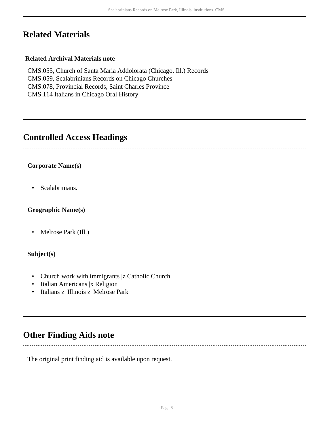## <span id="page-5-0"></span>**Related Materials**

#### **Related Archival Materials note**

CMS.055, Church of Santa Maria Addolorata (Chicago, Ill.) Records CMS.059, Scalabrinians Records on Chicago Churches CMS.078, Provincial Records, Saint Charles Province CMS.114 Italians in Chicago Oral History

### <span id="page-5-1"></span>**Controlled Access Headings**

#### **Corporate Name(s)**

• Scalabrinians.

#### **Geographic Name(s)**

• Melrose Park (Ill.)

#### **Subject(s)**

- Church work with immigrants |z Catholic Church
- Italian Americans |x Religion
- Italians z| Illinois z| Melrose Park

## <span id="page-5-2"></span>**Other Finding Aids note**

The original print finding aid is available upon request.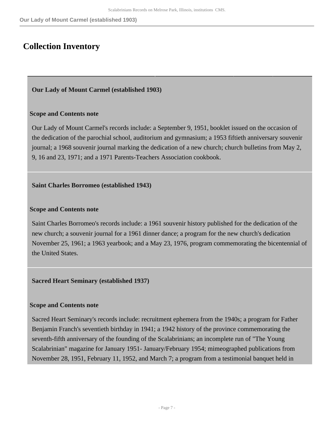## <span id="page-6-0"></span>**Collection Inventory**

#### <span id="page-6-1"></span>**Our Lady of Mount Carmel (established 1903)**

#### **Scope and Contents note**

Our Lady of Mount Carmel's records include: a September 9, 1951, booklet issued on the occasion of the dedication of the parochial school, auditorium and gymnasium; a 1953 fiftieth anniversary souvenir journal; a 1968 souvenir journal marking the dedication of a new church; church bulletins from May 2, 9, 16 and 23, 1971; and a 1971 Parents-Teachers Association cookbook.

#### <span id="page-6-2"></span>**Saint Charles Borromeo (established 1943)**

#### **Scope and Contents note**

Saint Charles Borromeo's records include: a 1961 souvenir history published for the dedication of the new church; a souvenir journal for a 1961 dinner dance; a program for the new church's dedication November 25, 1961; a 1963 yearbook; and a May 23, 1976, program commemorating the bicentennial of the United States.

#### <span id="page-6-3"></span>**Sacred Heart Seminary (established 1937)**

#### **Scope and Contents note**

Sacred Heart Seminary's records include: recruitment ephemera from the 1940s; a program for Father Benjamin Franch's seventieth birthday in 1941; a 1942 history of the province commemorating the seventh-fifth anniversary of the founding of the Scalabrinians; an incomplete run of "The Young Scalabrinian" magazine for January 1951- January/February 1954; mimeographed publications from November 28, 1951, February 11, 1952, and March 7; a program from a testimonial banquet held in